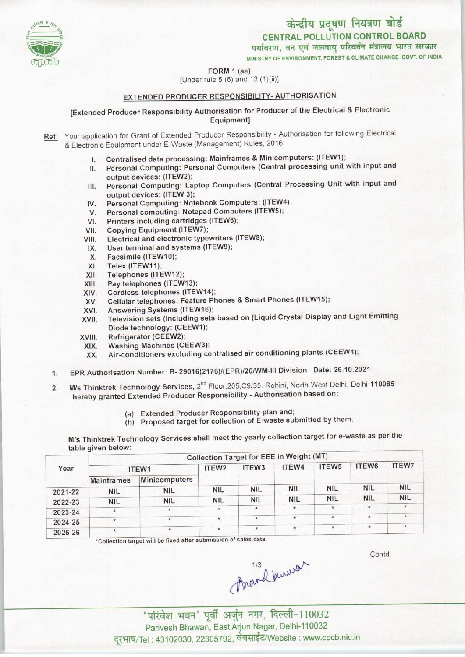

CENTRAL POLLUTION CONTROL BOARD<br>पर्यावरण, वन एवं जलवायु परिवर्तन मंत्रालय भारत सरकार

MINISTRY OF ENVIRONMENT, FOREST & CLIMATE CHANGE GOVT. OF INDIA

#### FORM 1 (aa)

#### [Under rule 5 (6) and 13 (1)(ii)]

### EXTENDED PRODUCER RESPONSIBILITY- AUTHORISATION

#### [Extended Producer Responsibility Authorisation for Producer of the Electrical & Electronic Equipment]

- Ref: Your application for Grant of Extended Producer Responsibility Authorisation for following Electrical & Electronic Equipment under E-Waste (Management) Rules, 2016
	-
	- I. Centralised data processing: Mainframes & Minicomputers: (ITEW1);<br>II. Personal Computing: Personal Computers (Central processing unit \ Personal Computing: Personal Computers (Central processing unit with input and output devices: (ITEW2);
	- III. Personal Computing: Laptop Computers (Central Processing Unit with input and output devices: (ITEW 3); III. Personal Computing: Laptop Computers (Central Picture output devices: (ITEW 3);<br>IV. Personal Computing: Notebook Computers: (ITEW4);<br>IV. Personal Computing: Notebook Computers (ITEW5);
	- output devices: (ITEW 3);<br>V. Personal Computing: Notebook Computers: (ITEW<br>V. Personal computing: Notepad Computers (ITEW5);<br>V. Printers including contridues (ITEW6);
	- V. Personal computing: Notepad Computers (ITEW5);<br>VI. Printers including cartridges (ITEW6);<br>VII. Copying Equipment (ITEW7);
	-
	- VII. Copying Equipment (ITEW7);<br>VIII. Electrical and electronic type
	- VI. Printers including cartridges (ITEW6);<br>VII. Copying Equipment (ITEW7);<br>VIII. Electrical and electronic typewriters (ITEW8); TH. Copying Equipment (TEW7);<br>III. Electrical and electronic typewriters<br>IX. User terminal and systems (ITEW9);
	- IX. User terminal and systems (ITEW9);<br>X. Facsimile (ITEW10);<br>XI. Telex (ITEW11);
	- X. Facsimile (ITEW10);<br>XI. Telex (ITEW11);<br>XII. Telephones (ITEW12
	-
	- XII. Telephones (ITEW12);<br>XIII. Pay telephones (ITEW
	- XIII. Pay telephones (ITEW13);<br>XIV. Cordless telephones (ITEV
	- XIV. Cordless telephones (ITEW14);<br>XV. Cellular telephones: Feature Ph
	- XIII. Pay telephones (ITEW13);<br>XIV. Cordless telephones (ITEW14);<br>XV. Cellular telephones: Feature Phones & Smart Phones (ITEW15);
	- XIV. Cordiess telephones (ITEW14)<br>XV. Cellular telephones: Feature P<br>XVI. Answering Systems (ITEW16);
	- XVI. Answering Systems (ITEW16);<br>XVII. Television sets (including sets based on (Liquid Crystal Display and Light Emitting Diode technology: (CEEW1);
	-
	- XVIII. Refrigerator (CEEW2); Washing Machines (CEEW3);
		- XX. Air-conditioners excluding centralised air conditioning plants(CEEW4);
	- 1.EPR Authorisation Number: B- 29016(2176)/(EPR)/20/WM-lll Division Date: 26.10.2021
	- 2. M/s Thinktrek Technology Services, 2<sup>nd</sup> Floor, 205, C9/35. Rohini, North West Delhi, Delhi-110085 hereby granted Extended Producer Responsibility - Authorisation based on:
		- (a)Extended Producer Responsibility plan and;
		- (b) Proposed target for collection of E-waste submitted by them.

M/s Thinktrek Technology Services shall meet the yearly collection target for e-waste as per the table given below:

|         | Collection Target for EEE in Weight (MT) |                      |                   |                   |            |                   |             |              |  |  |  |
|---------|------------------------------------------|----------------------|-------------------|-------------------|------------|-------------------|-------------|--------------|--|--|--|
| Year    |                                          | ITEW1                | ITEW <sub>2</sub> | ITEW <sub>3</sub> | ITEW4      | ITEW <sub>5</sub> | ITEW6       | <b>ITEW7</b> |  |  |  |
|         | <b>Mainframes</b>                        | <b>Minicomputers</b> |                   |                   |            |                   |             |              |  |  |  |
| 2021-22 | <b>NIL</b>                               | <b>NIL</b>           | <b>NIL</b>        | <b>NIL</b>        | <b>NIL</b> | <b>NIL</b>        | <b>NIL</b>  | <b>NIL</b>   |  |  |  |
| 2022-23 | <b>NIL</b>                               | <b>NIL</b>           | <b>NIL</b>        | <b>NIL</b>        | <b>NIL</b> | <b>NIL</b>        | <b>NIL</b>  | <b>NIL</b>   |  |  |  |
| 2023-24 | $\star$                                  | *                    | $\star$           | $\star$           | $\star$    | ×,                | $\pmb{\pi}$ | $\star$      |  |  |  |
| 2024-25 | $\star$                                  | $\star$              | $\star$           | $\star$           | $\star$    | $\star$           | $\star$     | $\star$      |  |  |  |
| 2025-26 | $\star$                                  | $\star$              | $\star$           | $\star$           | $\star$    | $\star$           | $\star$     | $\star$      |  |  |  |

'Collection target will be fixed after submission of sales data

Contd...

 $A$ wevel Kuwel<br>
'परिवेश भवन' पूर्वी अर्जुन नगर, दिल्ली-110032

Parivesh Bhawan, East Arjun Nagar, Delhi-110032 दूरभाष/Tel: 43102030, 22305792, वेबसाईट/Website : www.cpcb.nic.in

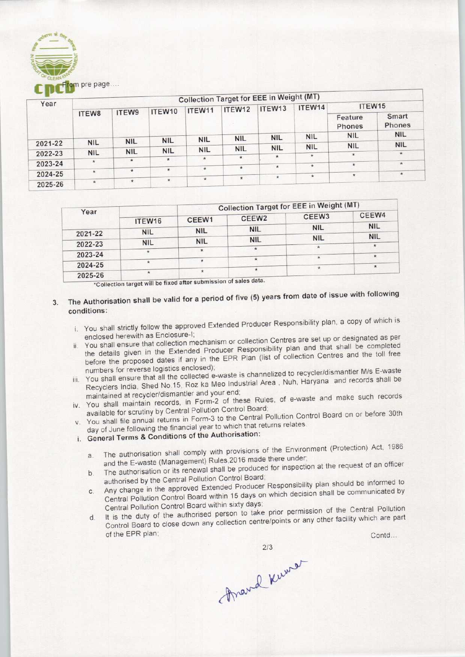

|         |            |            |            |            |            | <b>Collection Target for EEE in Weight (MT)</b> |            |                   |                 |
|---------|------------|------------|------------|------------|------------|-------------------------------------------------|------------|-------------------|-----------------|
| Year    |            |            | ITEW10     | ITEW11     | ITEW12     | ITEW <sub>13</sub>                              | ITEW14     | ITEW15            |                 |
|         | ITEW8      | ITEW9      |            |            |            |                                                 |            | Feature<br>Phones | Smart<br>Phones |
|         |            |            |            |            | <b>NIL</b> | <b>NIL</b>                                      | <b>NIL</b> | <b>NIL</b>        | <b>NIL</b>      |
| 2021-22 | <b>NIL</b> | <b>NIL</b> | <b>NIL</b> | <b>NIL</b> |            |                                                 |            | <b>NIL</b>        | <b>NIL</b>      |
|         | <b>NIL</b> | <b>NIL</b> | <b>NIL</b> | <b>NIL</b> | <b>NIL</b> | <b>NIL</b>                                      | <b>NIL</b> |                   | $\star$         |
| 2022-23 |            |            | $\star$    | $\star$    | $\star$    | $\star$                                         | $\star$    | $\star$           |                 |
| 2023-24 | $\star$    | $\star$    |            |            |            |                                                 | $\star$    | $\star$           | $\pmb{\times}$  |
|         | $\star$    | $\star$    | $\star$    | $\star$    | $\star$    | $\star$                                         |            |                   |                 |
| 2024-25 |            |            |            |            | $\ast$     |                                                 | $\star$    | $\star$           | $\star$         |
| 2025-26 | $\star$    | $\star$    | $\star$    | $\star$    |            |                                                 |            |                   |                 |

| Year<br>2021-22<br>2022-23<br>2023-24<br>2024-25<br>2025-26<br>conditions:<br>v. You shall file annual returns in Form-3 to the Central Pollution Control Board on or before 30t | ITEW16<br><b>NIL</b><br><b>NIL</b><br>$\star$<br>$\star$<br>$\star$<br>enclosed herewith as Enclosure-I;<br>numbers for reverse logistics enclosed); | CEEW1<br><b>NIL</b><br><b>NIL</b><br>$\star$<br>$\star$<br>$\star$<br>*Collection target will be fixed after submission of sales data.<br>maintained at recycler/dismantler and your end;<br>available for scrutiny by Central Pollution Control Board; | CEEW <sub>2</sub><br><b>NIL</b><br><b>NIL</b><br>$\star$<br>ŵ.<br>$\star$                                                                                   | CEEW3<br><b>NIL</b><br><b>NIL</b><br>$\star$<br>$\star$<br>$\star$<br>The Authorisation shall be valid for a period of five (5) years from date of issue with following<br>i. You shall strictly follow the approved Extended Producer Responsibility plan, a copy of which is<br>ii. You shall ensure that collection mechanism or collection Centres are set up or designated as pe<br>the details given in the Extended Producer Responsibility plan and that shall be completed<br>before the proposed dates if any in the EPR Plan (list of collection Centres and the toll free<br>iii. You shall ensure that all the collected e-waste is channelized to recycler/dismantler M/s E-waste<br>Recyclers India, Shed No.15, Roz ka Meo Industrial Area, Nuh, Haryana and records shall be<br>iv. You shall maintain records, in Form-2 of these Rules, of e-waste and make such record | CEEW4<br><b>NIL</b><br><b>NIL</b><br>$\star$<br>$\star$<br>$\star$ |
|----------------------------------------------------------------------------------------------------------------------------------------------------------------------------------|------------------------------------------------------------------------------------------------------------------------------------------------------|---------------------------------------------------------------------------------------------------------------------------------------------------------------------------------------------------------------------------------------------------------|-------------------------------------------------------------------------------------------------------------------------------------------------------------|--------------------------------------------------------------------------------------------------------------------------------------------------------------------------------------------------------------------------------------------------------------------------------------------------------------------------------------------------------------------------------------------------------------------------------------------------------------------------------------------------------------------------------------------------------------------------------------------------------------------------------------------------------------------------------------------------------------------------------------------------------------------------------------------------------------------------------------------------------------------------------------------|--------------------------------------------------------------------|
|                                                                                                                                                                                  |                                                                                                                                                      |                                                                                                                                                                                                                                                         |                                                                                                                                                             |                                                                                                                                                                                                                                                                                                                                                                                                                                                                                                                                                                                                                                                                                                                                                                                                                                                                                            |                                                                    |
|                                                                                                                                                                                  |                                                                                                                                                      |                                                                                                                                                                                                                                                         |                                                                                                                                                             |                                                                                                                                                                                                                                                                                                                                                                                                                                                                                                                                                                                                                                                                                                                                                                                                                                                                                            |                                                                    |
|                                                                                                                                                                                  |                                                                                                                                                      |                                                                                                                                                                                                                                                         |                                                                                                                                                             |                                                                                                                                                                                                                                                                                                                                                                                                                                                                                                                                                                                                                                                                                                                                                                                                                                                                                            |                                                                    |
|                                                                                                                                                                                  |                                                                                                                                                      |                                                                                                                                                                                                                                                         |                                                                                                                                                             |                                                                                                                                                                                                                                                                                                                                                                                                                                                                                                                                                                                                                                                                                                                                                                                                                                                                                            |                                                                    |
|                                                                                                                                                                                  |                                                                                                                                                      |                                                                                                                                                                                                                                                         |                                                                                                                                                             |                                                                                                                                                                                                                                                                                                                                                                                                                                                                                                                                                                                                                                                                                                                                                                                                                                                                                            |                                                                    |
|                                                                                                                                                                                  |                                                                                                                                                      |                                                                                                                                                                                                                                                         |                                                                                                                                                             |                                                                                                                                                                                                                                                                                                                                                                                                                                                                                                                                                                                                                                                                                                                                                                                                                                                                                            |                                                                    |
|                                                                                                                                                                                  |                                                                                                                                                      |                                                                                                                                                                                                                                                         |                                                                                                                                                             |                                                                                                                                                                                                                                                                                                                                                                                                                                                                                                                                                                                                                                                                                                                                                                                                                                                                                            |                                                                    |
| i. General Terms & Conditions of the Authorisation:<br>a.<br>b.<br>$C$ .<br>d.                                                                                                   | of the EPR plan;                                                                                                                                     | authorised by the Central Pollution Control Board;<br>Central Pollution Control Board within sixty days;                                                                                                                                                | day of June following the financial year to which that returns relates.<br>and the E-waste (Management) Rules, 2016 made there under;<br>2/3<br>Anand Kumar | The authorisation shall comply with provisions of the Environment (Protection) Act, 198<br>The authorisation or its renewal shall be produced for inspection at the request of an offici-<br>Any change in the approved Extended Producer Responsibility plan should be informed<br>Central Pollution Control Board within 15 days on which decision shall be communicated I<br>It is the duty of the authorised person to take prior permission of the Central Pollution<br>Control Board to close down any collection centre/points or any other facility which are pay                                                                                                                                                                                                                                                                                                                  | Contd                                                              |

- 3. The Authorisation shall be valid for a period of five (5) years from date of issue with following conditions:
	- i. You shall strictly follow the approved Extended Producer Responsibility plan, a copy of which is enclosed herewith as Enclosure-I;
	- ii. You shall ensure that collection mechanism or collection Centres are set up or designated as per the details given in the Extended Producer Responsibility plan and that shall be completed before the proposed dates if any in the EPR Plan (list of collection Centres and the toll free
	- numbers for reverse logistics enclosed); humbers for reverse logistics enclosed);<br>https://waste.is channelized to recycler/dismantler M/s E-waste You shall ensure that all the collected e-waste is channelized to recyclerial shall life in the Life of the Meo Industrial Area . Nuh, Haryana and records shall be Recyclers India, Shed No.15, Roz ka Meo Industrial Area, Nuh, Haryana and records shall be maintained at recycler/dismantler and your end;
	- iv. You shall maintain records, in Form-2 of these Rules, of e-waste and make such records available for scrutiny by Central Pollution Control Board;
	- v. You shall file annual returns in Form-3 to the Central Pollution Control Board on or before 30th day of June following the financial year to which that returns relates.
	- i. General Terms & Conditions of the Authorisation:
		- a. The authorisation shall comply with provisions of the Environment (Protection) Act, 1986 and the E-waste (Management) Rules, 2016 made there under; a. The authorisation shall comply with provisions of the Environment (Protection) Act, 1966<br>and the E-waste (Management) Rules, 2016 made there under;<br>the authorisation or its renewal shall be produced for inspection at th
		- authorised by the Central Pollution Control Board;
		- b. The authorisation or its renewal shall be produced for inspectively.<br>
		The authorised by the Central Pollution Control Board;<br>
		c. Any change in the approved Extended Producer Responsibility plan should be informed to<br>
		by Central Pollution Control Board within 15 days on which decision shall be communicated by Central Pollution Control Board within sixty days;
- d. It is the duty of the authorised person to take prior permission of the Central Pollution Control Board to close down any collection centre/points or any other facility which are part Pollution Control Board on or before 30<br>turns relates.<br>of the Environment (Protection) Act, 19<br>externe under;<br>d for inspection at the request of an office<br>is responsibility plan should be informed<br>in which decision shall

march Keena